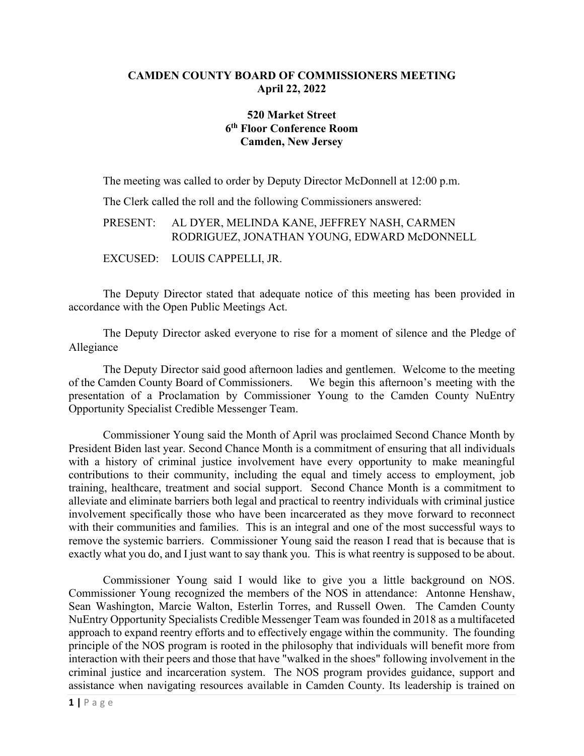### **CAMDEN COUNTY BOARD OF COMMISSIONERS MEETING April 22, 2022**

# **520 Market Street 6th Floor Conference Room Camden, New Jersey**

The meeting was called to order by Deputy Director McDonnell at 12:00 p.m.

The Clerk called the roll and the following Commissioners answered:

### PRESENT: AL DYER, MELINDA KANE, JEFFREY NASH, CARMEN RODRIGUEZ, JONATHAN YOUNG, EDWARD McDONNELL

EXCUSED: LOUIS CAPPELLI, JR.

The Deputy Director stated that adequate notice of this meeting has been provided in accordance with the Open Public Meetings Act.

The Deputy Director asked everyone to rise for a moment of silence and the Pledge of Allegiance

The Deputy Director said good afternoon ladies and gentlemen. Welcome to the meeting of the Camden County Board of Commissioners. We begin this afternoon's meeting with the presentation of a Proclamation by Commissioner Young to the Camden County NuEntry Opportunity Specialist Credible Messenger Team.

Commissioner Young said the Month of April was proclaimed Second Chance Month by President Biden last year. Second Chance Month is a commitment of ensuring that all individuals with a history of criminal justice involvement have every opportunity to make meaningful contributions to their community, including the equal and timely access to employment, job training, healthcare, treatment and social support. Second Chance Month is a commitment to alleviate and eliminate barriers both legal and practical to reentry individuals with criminal justice involvement specifically those who have been incarcerated as they move forward to reconnect with their communities and families. This is an integral and one of the most successful ways to remove the systemic barriers. Commissioner Young said the reason I read that is because that is exactly what you do, and I just want to say thank you. This is what reentry is supposed to be about.

Commissioner Young said I would like to give you a little background on NOS. Commissioner Young recognized the members of the NOS in attendance: Antonne Henshaw, Sean Washington, Marcie Walton, Esterlin Torres, and Russell Owen. The Camden County NuEntry Opportunity Specialists Credible Messenger Team was founded in 2018 as a multifaceted approach to expand reentry efforts and to effectively engage within the community. The founding principle of the NOS program is rooted in the philosophy that individuals will benefit more from interaction with their peers and those that have "walked in the shoes" following involvement in the criminal justice and incarceration system. The NOS program provides guidance, support and assistance when navigating resources available in Camden County. Its leadership is trained on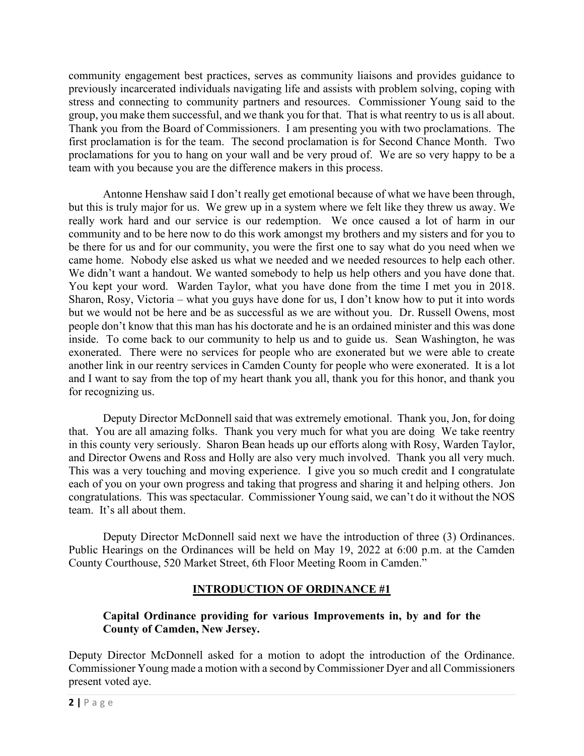community engagement best practices, serves as community liaisons and provides guidance to previously incarcerated individuals navigating life and assists with problem solving, coping with stress and connecting to community partners and resources. Commissioner Young said to the group, you make them successful, and we thank you for that. That is what reentry to us is all about. Thank you from the Board of Commissioners. I am presenting you with two proclamations. The first proclamation is for the team. The second proclamation is for Second Chance Month. Two proclamations for you to hang on your wall and be very proud of. We are so very happy to be a team with you because you are the difference makers in this process.

Antonne Henshaw said I don't really get emotional because of what we have been through, but this is truly major for us. We grew up in a system where we felt like they threw us away. We really work hard and our service is our redemption. We once caused a lot of harm in our community and to be here now to do this work amongst my brothers and my sisters and for you to be there for us and for our community, you were the first one to say what do you need when we came home. Nobody else asked us what we needed and we needed resources to help each other. We didn't want a handout. We wanted somebody to help us help others and you have done that. You kept your word. Warden Taylor, what you have done from the time I met you in 2018. Sharon, Rosy, Victoria – what you guys have done for us, I don't know how to put it into words but we would not be here and be as successful as we are without you. Dr. Russell Owens, most people don't know that this man has his doctorate and he is an ordained minister and this was done inside. To come back to our community to help us and to guide us. Sean Washington, he was exonerated. There were no services for people who are exonerated but we were able to create another link in our reentry services in Camden County for people who were exonerated. It is a lot and I want to say from the top of my heart thank you all, thank you for this honor, and thank you for recognizing us.

Deputy Director McDonnell said that was extremely emotional. Thank you, Jon, for doing that. You are all amazing folks. Thank you very much for what you are doing We take reentry in this county very seriously. Sharon Bean heads up our efforts along with Rosy, Warden Taylor, and Director Owens and Ross and Holly are also very much involved. Thank you all very much. This was a very touching and moving experience. I give you so much credit and I congratulate each of you on your own progress and taking that progress and sharing it and helping others. Jon congratulations. This was spectacular. Commissioner Young said, we can't do it without the NOS team. It's all about them.

Deputy Director McDonnell said next we have the introduction of three (3) Ordinances. Public Hearings on the Ordinances will be held on May 19, 2022 at 6:00 p.m. at the Camden County Courthouse, 520 Market Street, 6th Floor Meeting Room in Camden."

# **INTRODUCTION OF ORDINANCE #1**

# **Capital Ordinance providing for various Improvements in, by and for the County of Camden, New Jersey.**

Deputy Director McDonnell asked for a motion to adopt the introduction of the Ordinance. Commissioner Young made a motion with a second by Commissioner Dyer and all Commissioners present voted aye.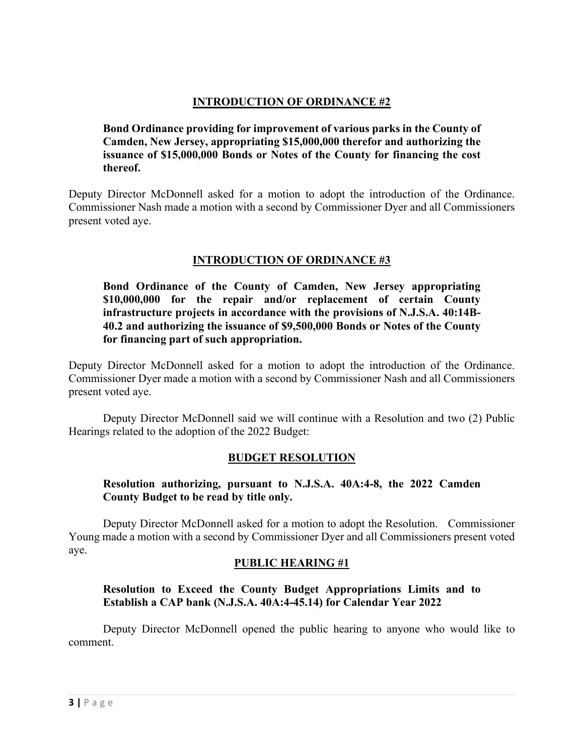# **INTRODUCTION OF ORDINANCE #2**

**Bond Ordinance providing for improvement of various parks in the County of Camden, New Jersey, appropriating \$15,000,000 therefor and authorizing the issuance of \$15,000,000 Bonds or Notes of the County for financing the cost thereof.**

Deputy Director McDonnell asked for a motion to adopt the introduction of the Ordinance. Commissioner Nash made a motion with a second by Commissioner Dyer and all Commissioners present voted aye.

# **INTRODUCTION OF ORDINANCE #3**

**Bond Ordinance of the County of Camden, New Jersey appropriating \$10,000,000 for the repair and/or replacement of certain County infrastructure projects in accordance with the provisions of N.J.S.A. 40:14B-40.2 and authorizing the issuance of \$9,500,000 Bonds or Notes of the County for financing part of such appropriation.**

Deputy Director McDonnell asked for a motion to adopt the introduction of the Ordinance. Commissioner Dyer made a motion with a second by Commissioner Nash and all Commissioners present voted aye.

Deputy Director McDonnell said we will continue with a Resolution and two (2) Public Hearings related to the adoption of the 2022 Budget:

## **BUDGET RESOLUTION**

## **Resolution authorizing, pursuant to N.J.S.A. 40A:4-8, the 2022 Camden County Budget to be read by title only.**

Deputy Director McDonnell asked for a motion to adopt the Resolution. Commissioner Young made a motion with a second by Commissioner Dyer and all Commissioners present voted aye.

#### **PUBLIC HEARING #1**

## **Resolution to Exceed the County Budget Appropriations Limits and to Establish a CAP bank (N.J.S.A. 40A:4-45.14) for Calendar Year 2022**

 Deputy Director McDonnell opened the public hearing to anyone who would like to comment.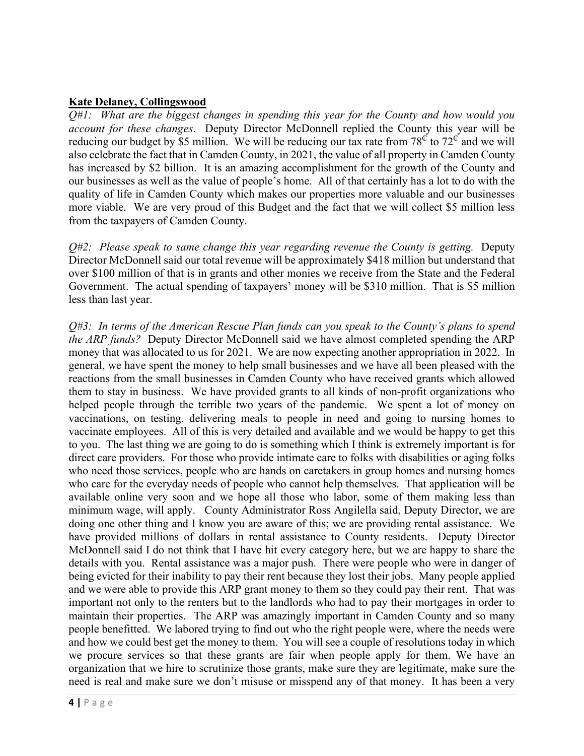### **Kate Delaney, Collingswood**

*Q#1: What are the biggest changes in spending this year for the County and how would you account for these changes*. Deputy Director McDonnell replied the County this year will be reducing our budget by \$5 million. We will be reducing our tax rate from  $78^\circ$  to  $72^\circ$  and we will also celebrate the fact that in Camden County, in 2021, the value of all property in Camden County has increased by \$2 billion. It is an amazing accomplishment for the growth of the County and our businesses as well as the value of people's home. All of that certainly has a lot to do with the quality of life in Camden County which makes our properties more valuable and our businesses more viable. We are very proud of this Budget and the fact that we will collect \$5 million less from the taxpayers of Camden County.

*Q#2: Please speak to same change this year regarding revenue the County is getting.* Deputy Director McDonnell said our total revenue will be approximately \$418 million but understand that over \$100 million of that is in grants and other monies we receive from the State and the Federal Government. The actual spending of taxpayers' money will be \$310 million. That is \$5 million less than last year.

*Q#3: In terms of the American Rescue Plan funds can you speak to the County's plans to spend the ARP funds?* Deputy Director McDonnell said we have almost completed spending the ARP money that was allocated to us for 2021. We are now expecting another appropriation in 2022. In general, we have spent the money to help small businesses and we have all been pleased with the reactions from the small businesses in Camden County who have received grants which allowed them to stay in business. We have provided grants to all kinds of non-profit organizations who helped people through the terrible two years of the pandemic. We spent a lot of money on vaccinations, on testing, delivering meals to people in need and going to nursing homes to vaccinate employees. All of this is very detailed and available and we would be happy to get this to you. The last thing we are going to do is something which I think is extremely important is for direct care providers. For those who provide intimate care to folks with disabilities or aging folks who need those services, people who are hands on caretakers in group homes and nursing homes who care for the everyday needs of people who cannot help themselves. That application will be available online very soon and we hope all those who labor, some of them making less than minimum wage, will apply. County Administrator Ross Angilella said, Deputy Director, we are doing one other thing and I know you are aware of this; we are providing rental assistance. We have provided millions of dollars in rental assistance to County residents. Deputy Director McDonnell said I do not think that I have hit every category here, but we are happy to share the details with you. Rental assistance was a major push. There were people who were in danger of being evicted for their inability to pay their rent because they lost their jobs. Many people applied and we were able to provide this ARP grant money to them so they could pay their rent. That was important not only to the renters but to the landlords who had to pay their mortgages in order to maintain their properties. The ARP was amazingly important in Camden County and so many people benefitted. We labored trying to find out who the right people were, where the needs were and how we could best get the money to them. You will see a couple of resolutions today in which we procure services so that these grants are fair when people apply for them. We have an organization that we hire to scrutinize those grants, make sure they are legitimate, make sure the need is real and make sure we don't misuse or misspend any of that money. It has been a very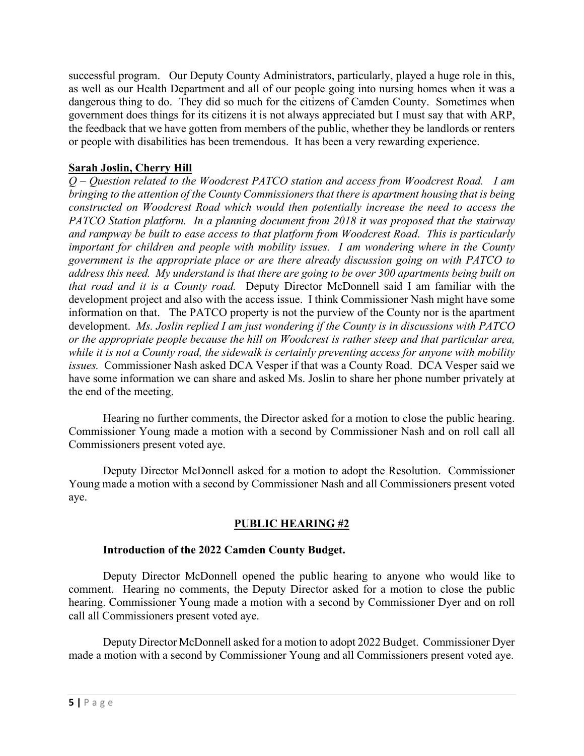successful program. Our Deputy County Administrators, particularly, played a huge role in this, as well as our Health Department and all of our people going into nursing homes when it was a dangerous thing to do. They did so much for the citizens of Camden County. Sometimes when government does things for its citizens it is not always appreciated but I must say that with ARP, the feedback that we have gotten from members of the public, whether they be landlords or renters or people with disabilities has been tremendous. It has been a very rewarding experience.

# **Sarah Joslin, Cherry Hill**

*Q – Question related to the Woodcrest PATCO station and access from Woodcrest Road. I am bringing to the attention of the County Commissioners that there is apartment housing that is being constructed on Woodcrest Road which would then potentially increase the need to access the PATCO Station platform. In a planning document from 2018 it was proposed that the stairway and rampway be built to ease access to that platform from Woodcrest Road. This is particularly important for children and people with mobility issues. I am wondering where in the County government is the appropriate place or are there already discussion going on with PATCO to address this need. My understand is that there are going to be over 300 apartments being built on that road and it is a County road.* Deputy Director McDonnell said I am familiar with the development project and also with the access issue. I think Commissioner Nash might have some information on that. The PATCO property is not the purview of the County nor is the apartment development. *Ms. Joslin replied I am just wondering if the County is in discussions with PATCO or the appropriate people because the hill on Woodcrest is rather steep and that particular area, while it is not a County road, the sidewalk is certainly preventing access for anyone with mobility issues.* Commissioner Nash asked DCA Vesper if that was a County Road. DCA Vesper said we have some information we can share and asked Ms. Joslin to share her phone number privately at the end of the meeting.

Hearing no further comments, the Director asked for a motion to close the public hearing. Commissioner Young made a motion with a second by Commissioner Nash and on roll call all Commissioners present voted aye.

 Deputy Director McDonnell asked for a motion to adopt the Resolution. Commissioner Young made a motion with a second by Commissioner Nash and all Commissioners present voted aye.

# **PUBLIC HEARING #2**

## **Introduction of the 2022 Camden County Budget.**

 Deputy Director McDonnell opened the public hearing to anyone who would like to comment. Hearing no comments, the Deputy Director asked for a motion to close the public hearing. Commissioner Young made a motion with a second by Commissioner Dyer and on roll call all Commissioners present voted aye.

 Deputy Director McDonnell asked for a motion to adopt 2022 Budget. Commissioner Dyer made a motion with a second by Commissioner Young and all Commissioners present voted aye.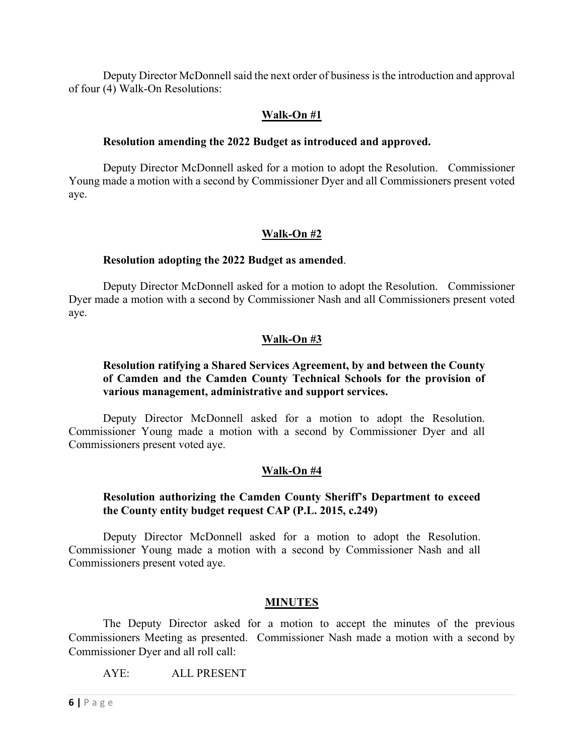Deputy Director McDonnell said the next order of business is the introduction and approval of four (4) Walk-On Resolutions:

### **Walk-On #1**

#### **Resolution amending the 2022 Budget as introduced and approved.**

Deputy Director McDonnell asked for a motion to adopt the Resolution. Commissioner Young made a motion with a second by Commissioner Dyer and all Commissioners present voted aye.

### **Walk-On #2**

#### **Resolution adopting the 2022 Budget as amended**.

Deputy Director McDonnell asked for a motion to adopt the Resolution. Commissioner Dyer made a motion with a second by Commissioner Nash and all Commissioners present voted aye.

### **Walk-On #3**

### **Resolution ratifying a Shared Services Agreement, by and between the County of Camden and the Camden County Technical Schools for the provision of various management, administrative and support services.**

Deputy Director McDonnell asked for a motion to adopt the Resolution. Commissioner Young made a motion with a second by Commissioner Dyer and all Commissioners present voted aye.

#### **Walk-On #4**

#### **Resolution authorizing the Camden County Sheriff's Department to exceed the County entity budget request CAP (P.L. 2015, c.249)**

Deputy Director McDonnell asked for a motion to adopt the Resolution. Commissioner Young made a motion with a second by Commissioner Nash and all Commissioners present voted aye.

#### **MINUTES**

The Deputy Director asked for a motion to accept the minutes of the previous Commissioners Meeting as presented. Commissioner Nash made a motion with a second by Commissioner Dyer and all roll call:

AYE: ALL PRESENT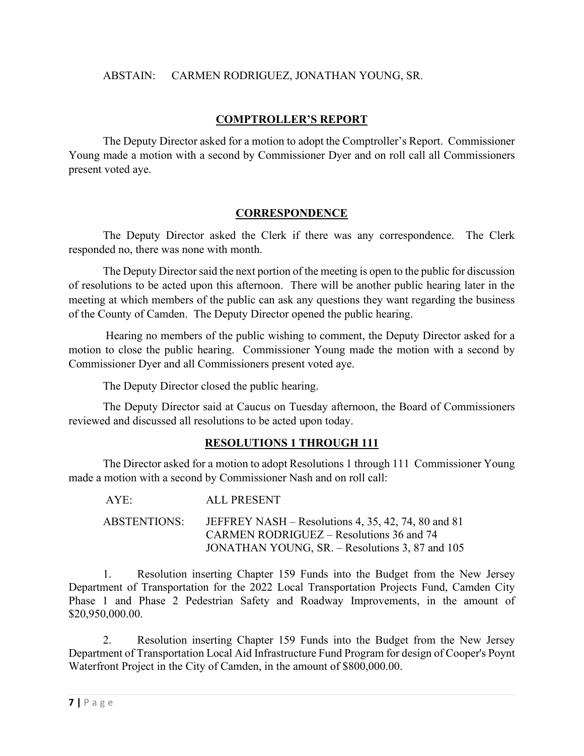### ABSTAIN: CARMEN RODRIGUEZ, JONATHAN YOUNG, SR.

## **COMPTROLLER'S REPORT**

The Deputy Director asked for a motion to adopt the Comptroller's Report. Commissioner Young made a motion with a second by Commissioner Dyer and on roll call all Commissioners present voted aye.

## **CORRESPONDENCE**

The Deputy Director asked the Clerk if there was any correspondence. The Clerk responded no, there was none with month.

The Deputy Director said the next portion of the meeting is open to the public for discussion of resolutions to be acted upon this afternoon. There will be another public hearing later in the meeting at which members of the public can ask any questions they want regarding the business of the County of Camden. The Deputy Director opened the public hearing.

 Hearing no members of the public wishing to comment, the Deputy Director asked for a motion to close the public hearing. Commissioner Young made the motion with a second by Commissioner Dyer and all Commissioners present voted aye.

The Deputy Director closed the public hearing.

The Deputy Director said at Caucus on Tuesday afternoon, the Board of Commissioners reviewed and discussed all resolutions to be acted upon today.

## **RESOLUTIONS 1 THROUGH 111**

The Director asked for a motion to adopt Resolutions 1 through 111 Commissioner Young made a motion with a second by Commissioner Nash and on roll call:

| AYE:         | ALL PRESENT                                                                                     |
|--------------|-------------------------------------------------------------------------------------------------|
| ABSTENTIONS: | JEFFREY NASH – Resolutions 4, 35, 42, 74, 80 and 81<br>CARMEN RODRIGUEZ – Resolutions 36 and 74 |
|              | JONATHAN YOUNG, SR. – Resolutions 3, 87 and 105                                                 |

 1. Resolution inserting Chapter 159 Funds into the Budget from the New Jersey Department of Transportation for the 2022 Local Transportation Projects Fund, Camden City Phase 1 and Phase 2 Pedestrian Safety and Roadway Improvements, in the amount of \$20,950,000.00.

 2. Resolution inserting Chapter 159 Funds into the Budget from the New Jersey Department of Transportation Local Aid Infrastructure Fund Program for design of Cooper's Poynt Waterfront Project in the City of Camden, in the amount of \$800,000.00.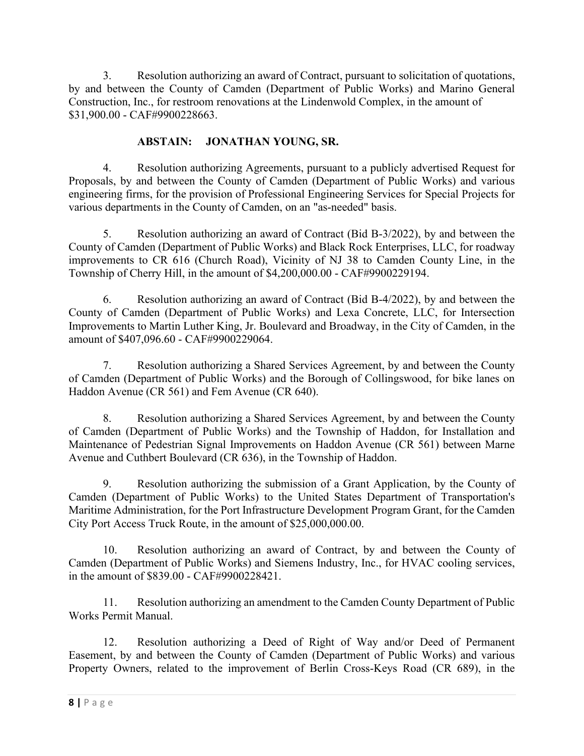3. Resolution authorizing an award of Contract, pursuant to solicitation of quotations, by and between the County of Camden (Department of Public Works) and Marino General Construction, Inc., for restroom renovations at the Lindenwold Complex, in the amount of \$31,900.00 - CAF#9900228663.

# **ABSTAIN: JONATHAN YOUNG, SR.**

4. Resolution authorizing Agreements, pursuant to a publicly advertised Request for Proposals, by and between the County of Camden (Department of Public Works) and various engineering firms, for the provision of Professional Engineering Services for Special Projects for various departments in the County of Camden, on an "as-needed" basis.

5. Resolution authorizing an award of Contract (Bid B-3/2022), by and between the County of Camden (Department of Public Works) and Black Rock Enterprises, LLC, for roadway improvements to CR 616 (Church Road), Vicinity of NJ 38 to Camden County Line, in the Township of Cherry Hill, in the amount of \$4,200,000.00 - CAF#9900229194.

6. Resolution authorizing an award of Contract (Bid B-4/2022), by and between the County of Camden (Department of Public Works) and Lexa Concrete, LLC, for Intersection Improvements to Martin Luther King, Jr. Boulevard and Broadway, in the City of Camden, in the amount of \$407,096.60 - CAF#9900229064.

7. Resolution authorizing a Shared Services Agreement, by and between the County of Camden (Department of Public Works) and the Borough of Collingswood, for bike lanes on Haddon Avenue (CR 561) and Fem Avenue (CR 640).

8. Resolution authorizing a Shared Services Agreement, by and between the County of Camden (Department of Public Works) and the Township of Haddon, for Installation and Maintenance of Pedestrian Signal Improvements on Haddon Avenue (CR 561) between Marne Avenue and Cuthbert Boulevard (CR 636), in the Township of Haddon.

9. Resolution authorizing the submission of a Grant Application, by the County of Camden (Department of Public Works) to the United States Department of Transportation's Maritime Administration, for the Port Infrastructure Development Program Grant, for the Camden City Port Access Truck Route, in the amount of \$25,000,000.00.

10. Resolution authorizing an award of Contract, by and between the County of Camden (Department of Public Works) and Siemens Industry, Inc., for HVAC cooling services, in the amount of \$839.00 - CAF#9900228421.

11. Resolution authorizing an amendment to the Camden County Department of Public Works Permit Manual.

12. Resolution authorizing a Deed of Right of Way and/or Deed of Permanent Easement, by and between the County of Camden (Department of Public Works) and various Property Owners, related to the improvement of Berlin Cross-Keys Road (CR 689), in the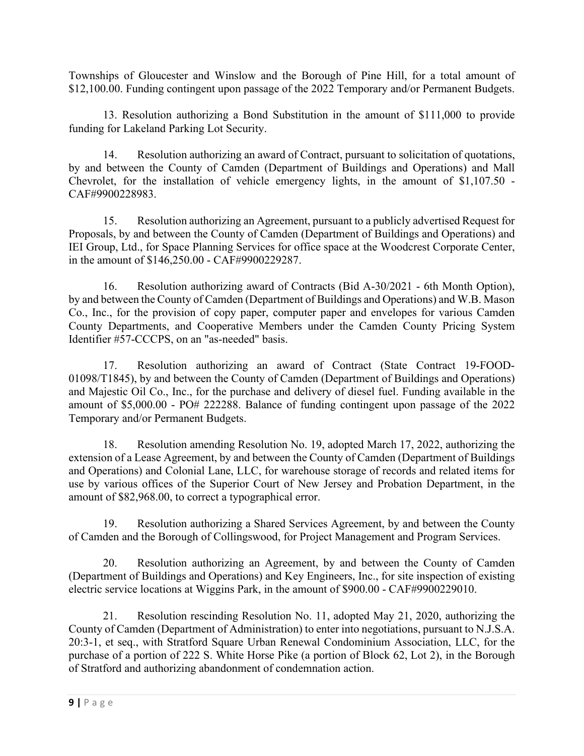Townships of Gloucester and Winslow and the Borough of Pine Hill, for a total amount of \$12,100.00. Funding contingent upon passage of the 2022 Temporary and/or Permanent Budgets.

13. Resolution authorizing a Bond Substitution in the amount of \$111,000 to provide funding for Lakeland Parking Lot Security.

14. Resolution authorizing an award of Contract, pursuant to solicitation of quotations, by and between the County of Camden (Department of Buildings and Operations) and Mall Chevrolet, for the installation of vehicle emergency lights, in the amount of \$1,107.50 - CAF#9900228983.

15. Resolution authorizing an Agreement, pursuant to a publicly advertised Request for Proposals, by and between the County of Camden (Department of Buildings and Operations) and IEI Group, Ltd., for Space Planning Services for office space at the Woodcrest Corporate Center, in the amount of \$146,250.00 - CAF#9900229287.

16. Resolution authorizing award of Contracts (Bid A-30/2021 - 6th Month Option), by and between the County of Camden (Department of Buildings and Operations) and W.B. Mason Co., Inc., for the provision of copy paper, computer paper and envelopes for various Camden County Departments, and Cooperative Members under the Camden County Pricing System Identifier #57-CCCPS, on an "as-needed" basis.

17. Resolution authorizing an award of Contract (State Contract 19-FOOD-01098/T1845), by and between the County of Camden (Department of Buildings and Operations) and Majestic Oil Co., Inc., for the purchase and delivery of diesel fuel. Funding available in the amount of \$5,000.00 - PO# 222288. Balance of funding contingent upon passage of the 2022 Temporary and/or Permanent Budgets.

18. Resolution amending Resolution No. 19, adopted March 17, 2022, authorizing the extension of a Lease Agreement, by and between the County of Camden (Department of Buildings and Operations) and Colonial Lane, LLC, for warehouse storage of records and related items for use by various offices of the Superior Court of New Jersey and Probation Department, in the amount of \$82,968.00, to correct a typographical error.

19. Resolution authorizing a Shared Services Agreement, by and between the County of Camden and the Borough of Collingswood, for Project Management and Program Services.

20. Resolution authorizing an Agreement, by and between the County of Camden (Department of Buildings and Operations) and Key Engineers, Inc., for site inspection of existing electric service locations at Wiggins Park, in the amount of \$900.00 - CAF#9900229010.

21. Resolution rescinding Resolution No. 11, adopted May 21, 2020, authorizing the County of Camden (Department of Administration) to enter into negotiations, pursuant to N.J.S.A. 20:3-1, et seq., with Stratford Square Urban Renewal Condominium Association, LLC, for the purchase of a portion of 222 S. White Horse Pike (a portion of Block 62, Lot 2), in the Borough of Stratford and authorizing abandonment of condemnation action.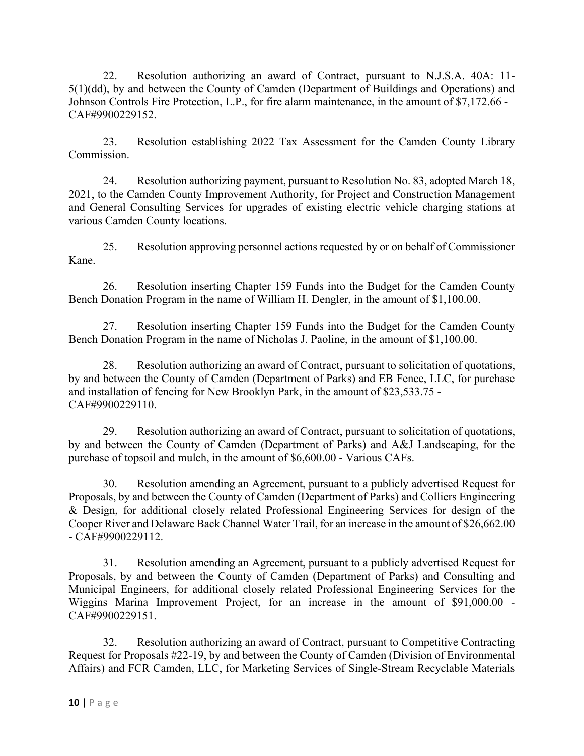22. Resolution authorizing an award of Contract, pursuant to N.J.S.A. 40A: 11- 5(1)(dd), by and between the County of Camden (Department of Buildings and Operations) and Johnson Controls Fire Protection, L.P., for fire alarm maintenance, in the amount of \$7,172.66 - CAF#9900229152.

23. Resolution establishing 2022 Tax Assessment for the Camden County Library Commission.

24. Resolution authorizing payment, pursuant to Resolution No. 83, adopted March 18, 2021, to the Camden County Improvement Authority, for Project and Construction Management and General Consulting Services for upgrades of existing electric vehicle charging stations at various Camden County locations.

25. Resolution approving personnel actions requested by or on behalf of Commissioner Kane.

26. Resolution inserting Chapter 159 Funds into the Budget for the Camden County Bench Donation Program in the name of William H. Dengler, in the amount of \$1,100.00.

27. Resolution inserting Chapter 159 Funds into the Budget for the Camden County Bench Donation Program in the name of Nicholas J. Paoline, in the amount of \$1,100.00.

28. Resolution authorizing an award of Contract, pursuant to solicitation of quotations, by and between the County of Camden (Department of Parks) and EB Fence, LLC, for purchase and installation of fencing for New Brooklyn Park, in the amount of \$23,533.75 - CAF#9900229110.

29. Resolution authorizing an award of Contract, pursuant to solicitation of quotations, by and between the County of Camden (Department of Parks) and A&J Landscaping, for the purchase of topsoil and mulch, in the amount of \$6,600.00 - Various CAFs.

30. Resolution amending an Agreement, pursuant to a publicly advertised Request for Proposals, by and between the County of Camden (Department of Parks) and Colliers Engineering & Design, for additional closely related Professional Engineering Services for design of the Cooper River and Delaware Back Channel Water Trail, for an increase in the amount of \$26,662.00 - CAF#9900229112.

31. Resolution amending an Agreement, pursuant to a publicly advertised Request for Proposals, by and between the County of Camden (Department of Parks) and Consulting and Municipal Engineers, for additional closely related Professional Engineering Services for the Wiggins Marina Improvement Project, for an increase in the amount of \$91,000.00 - CAF#9900229151.

32. Resolution authorizing an award of Contract, pursuant to Competitive Contracting Request for Proposals #22-19, by and between the County of Camden (Division of Environmental Affairs) and FCR Camden, LLC, for Marketing Services of Single-Stream Recyclable Materials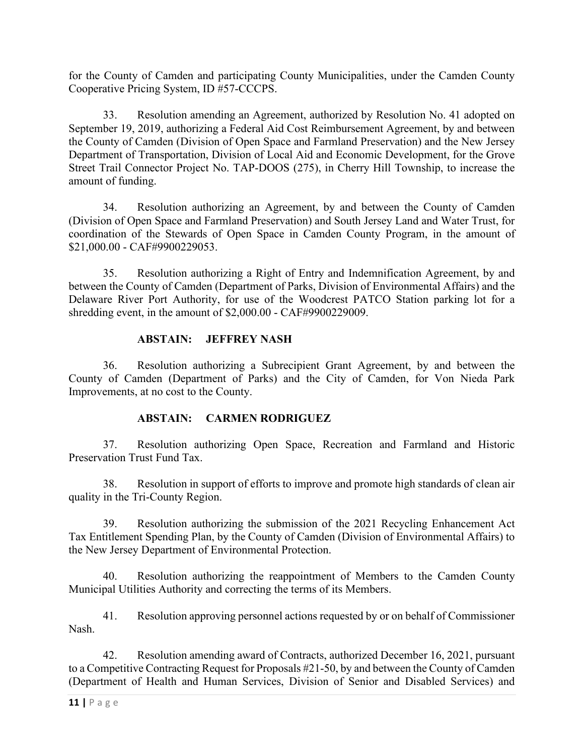for the County of Camden and participating County Municipalities, under the Camden County Cooperative Pricing System, ID #57-CCCPS.

33. Resolution amending an Agreement, authorized by Resolution No. 41 adopted on September 19, 2019, authorizing a Federal Aid Cost Reimbursement Agreement, by and between the County of Camden (Division of Open Space and Farmland Preservation) and the New Jersey Department of Transportation, Division of Local Aid and Economic Development, for the Grove Street Trail Connector Project No. TAP-DOOS (275), in Cherry Hill Township, to increase the amount of funding.

34. Resolution authorizing an Agreement, by and between the County of Camden (Division of Open Space and Farmland Preservation) and South Jersey Land and Water Trust, for coordination of the Stewards of Open Space in Camden County Program, in the amount of \$21,000.00 - CAF#9900229053.

35. Resolution authorizing a Right of Entry and Indemnification Agreement, by and between the County of Camden (Department of Parks, Division of Environmental Affairs) and the Delaware River Port Authority, for use of the Woodcrest PATCO Station parking lot for a shredding event, in the amount of \$2,000.00 - CAF#9900229009.

## **ABSTAIN: JEFFREY NASH**

36. Resolution authorizing a Subrecipient Grant Agreement, by and between the County of Camden (Department of Parks) and the City of Camden, for Von Nieda Park Improvements, at no cost to the County.

## **ABSTAIN: CARMEN RODRIGUEZ**

37. Resolution authorizing Open Space, Recreation and Farmland and Historic Preservation Trust Fund Tax.

38. Resolution in support of efforts to improve and promote high standards of clean air quality in the Tri-County Region.

39. Resolution authorizing the submission of the 2021 Recycling Enhancement Act Tax Entitlement Spending Plan, by the County of Camden (Division of Environmental Affairs) to the New Jersey Department of Environmental Protection.

40. Resolution authorizing the reappointment of Members to the Camden County Municipal Utilities Authority and correcting the terms of its Members.

41. Resolution approving personnel actions requested by or on behalf of Commissioner Nash.

42. Resolution amending award of Contracts, authorized December 16, 2021, pursuant to a Competitive Contracting Request for Proposals #21-50, by and between the County of Camden (Department of Health and Human Services, Division of Senior and Disabled Services) and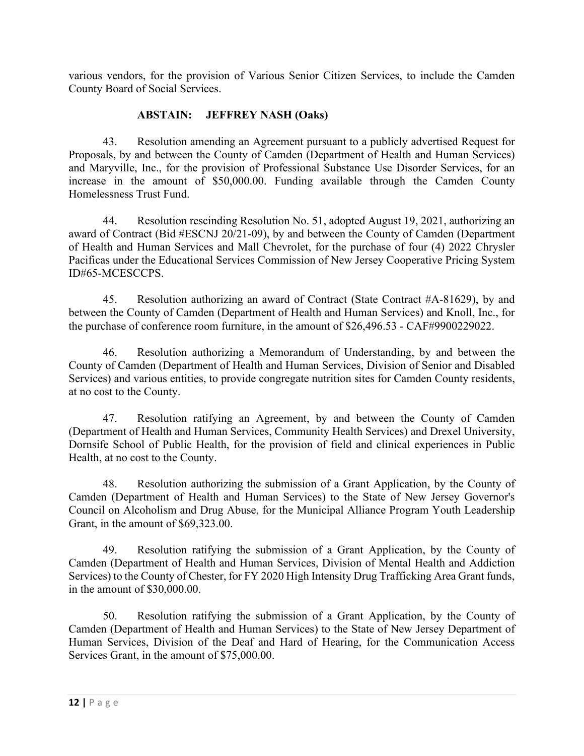various vendors, for the provision of Various Senior Citizen Services, to include the Camden County Board of Social Services.

# **ABSTAIN: JEFFREY NASH (Oaks)**

43. Resolution amending an Agreement pursuant to a publicly advertised Request for Proposals, by and between the County of Camden (Department of Health and Human Services) and Maryville, Inc., for the provision of Professional Substance Use Disorder Services, for an increase in the amount of \$50,000.00. Funding available through the Camden County Homelessness Trust Fund.

44. Resolution rescinding Resolution No. 51, adopted August 19, 2021, authorizing an award of Contract (Bid #ESCNJ 20/21-09), by and between the County of Camden (Department of Health and Human Services and Mall Chevrolet, for the purchase of four (4) 2022 Chrysler Pacificas under the Educational Services Commission of New Jersey Cooperative Pricing System ID#65-MCESCCPS.

45. Resolution authorizing an award of Contract (State Contract #A-81629), by and between the County of Camden (Department of Health and Human Services) and Knoll, Inc., for the purchase of conference room furniture, in the amount of \$26,496.53 - CAF#9900229022.

46. Resolution authorizing a Memorandum of Understanding, by and between the County of Camden (Department of Health and Human Services, Division of Senior and Disabled Services) and various entities, to provide congregate nutrition sites for Camden County residents, at no cost to the County.

47. Resolution ratifying an Agreement, by and between the County of Camden (Department of Health and Human Services, Community Health Services) and Drexel University, Dornsife School of Public Health, for the provision of field and clinical experiences in Public Health, at no cost to the County.

48. Resolution authorizing the submission of a Grant Application, by the County of Camden (Department of Health and Human Services) to the State of New Jersey Governor's Council on Alcoholism and Drug Abuse, for the Municipal Alliance Program Youth Leadership Grant, in the amount of \$69,323.00.

49. Resolution ratifying the submission of a Grant Application, by the County of Camden (Department of Health and Human Services, Division of Mental Health and Addiction Services) to the County of Chester, for FY 2020 High Intensity Drug Trafficking Area Grant funds, in the amount of \$30,000.00.

50. Resolution ratifying the submission of a Grant Application, by the County of Camden (Department of Health and Human Services) to the State of New Jersey Department of Human Services, Division of the Deaf and Hard of Hearing, for the Communication Access Services Grant, in the amount of \$75,000.00.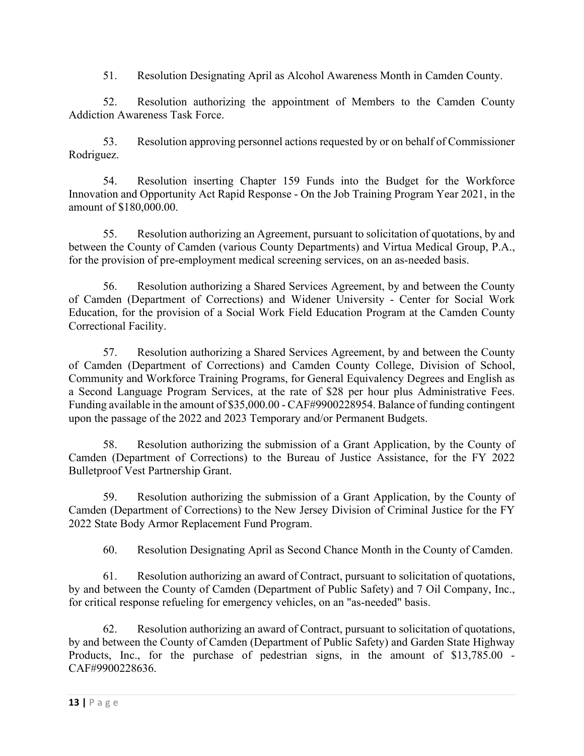51. Resolution Designating April as Alcohol Awareness Month in Camden County.

52. Resolution authorizing the appointment of Members to the Camden County Addiction Awareness Task Force.

53. Resolution approving personnel actions requested by or on behalf of Commissioner Rodriguez.

54. Resolution inserting Chapter 159 Funds into the Budget for the Workforce Innovation and Opportunity Act Rapid Response - On the Job Training Program Year 2021, in the amount of \$180,000.00.

55. Resolution authorizing an Agreement, pursuant to solicitation of quotations, by and between the County of Camden (various County Departments) and Virtua Medical Group, P.A., for the provision of pre-employment medical screening services, on an as-needed basis.

56. Resolution authorizing a Shared Services Agreement, by and between the County of Camden (Department of Corrections) and Widener University - Center for Social Work Education, for the provision of a Social Work Field Education Program at the Camden County Correctional Facility.

57. Resolution authorizing a Shared Services Agreement, by and between the County of Camden (Department of Corrections) and Camden County College, Division of School, Community and Workforce Training Programs, for General Equivalency Degrees and English as a Second Language Program Services, at the rate of \$28 per hour plus Administrative Fees. Funding available in the amount of \$35,000.00 - CAF#9900228954. Balance of funding contingent upon the passage of the 2022 and 2023 Temporary and/or Permanent Budgets.

58. Resolution authorizing the submission of a Grant Application, by the County of Camden (Department of Corrections) to the Bureau of Justice Assistance, for the FY 2022 Bulletproof Vest Partnership Grant.

59. Resolution authorizing the submission of a Grant Application, by the County of Camden (Department of Corrections) to the New Jersey Division of Criminal Justice for the FY 2022 State Body Armor Replacement Fund Program.

60. Resolution Designating April as Second Chance Month in the County of Camden.

61. Resolution authorizing an award of Contract, pursuant to solicitation of quotations, by and between the County of Camden (Department of Public Safety) and 7 Oil Company, Inc., for critical response refueling for emergency vehicles, on an "as-needed" basis.

62. Resolution authorizing an award of Contract, pursuant to solicitation of quotations, by and between the County of Camden (Department of Public Safety) and Garden State Highway Products, Inc., for the purchase of pedestrian signs, in the amount of \$13,785.00 - CAF#9900228636.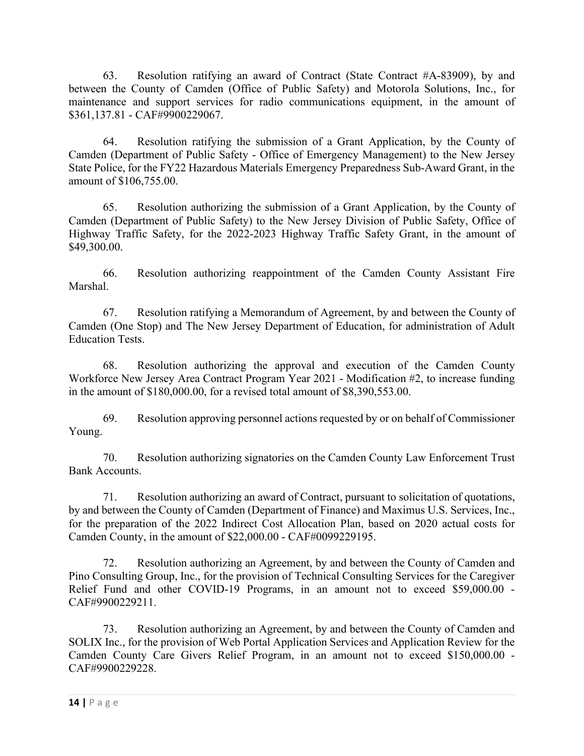63. Resolution ratifying an award of Contract (State Contract #A-83909), by and between the County of Camden (Office of Public Safety) and Motorola Solutions, Inc., for maintenance and support services for radio communications equipment, in the amount of \$361,137.81 - CAF#9900229067.

64. Resolution ratifying the submission of a Grant Application, by the County of Camden (Department of Public Safety - Office of Emergency Management) to the New Jersey State Police, for the FY22 Hazardous Materials Emergency Preparedness Sub-Award Grant, in the amount of \$106,755.00.

65. Resolution authorizing the submission of a Grant Application, by the County of Camden (Department of Public Safety) to the New Jersey Division of Public Safety, Office of Highway Traffic Safety, for the 2022-2023 Highway Traffic Safety Grant, in the amount of \$49,300.00.

66. Resolution authorizing reappointment of the Camden County Assistant Fire Marshal.

67. Resolution ratifying a Memorandum of Agreement, by and between the County of Camden (One Stop) and The New Jersey Department of Education, for administration of Adult Education Tests.

68. Resolution authorizing the approval and execution of the Camden County Workforce New Jersey Area Contract Program Year 2021 - Modification #2, to increase funding in the amount of \$180,000.00, for a revised total amount of \$8,390,553.00.

69. Resolution approving personnel actions requested by or on behalf of Commissioner Young.

70. Resolution authorizing signatories on the Camden County Law Enforcement Trust Bank Accounts.

71. Resolution authorizing an award of Contract, pursuant to solicitation of quotations, by and between the County of Camden (Department of Finance) and Maximus U.S. Services, Inc., for the preparation of the 2022 Indirect Cost Allocation Plan, based on 2020 actual costs for Camden County, in the amount of \$22,000.00 - CAF#0099229195.

72. Resolution authorizing an Agreement, by and between the County of Camden and Pino Consulting Group, Inc., for the provision of Technical Consulting Services for the Caregiver Relief Fund and other COVID-19 Programs, in an amount not to exceed \$59,000.00 - CAF#9900229211.

73. Resolution authorizing an Agreement, by and between the County of Camden and SOLIX Inc., for the provision of Web Portal Application Services and Application Review for the Camden County Care Givers Relief Program, in an amount not to exceed \$150,000.00 - CAF#9900229228.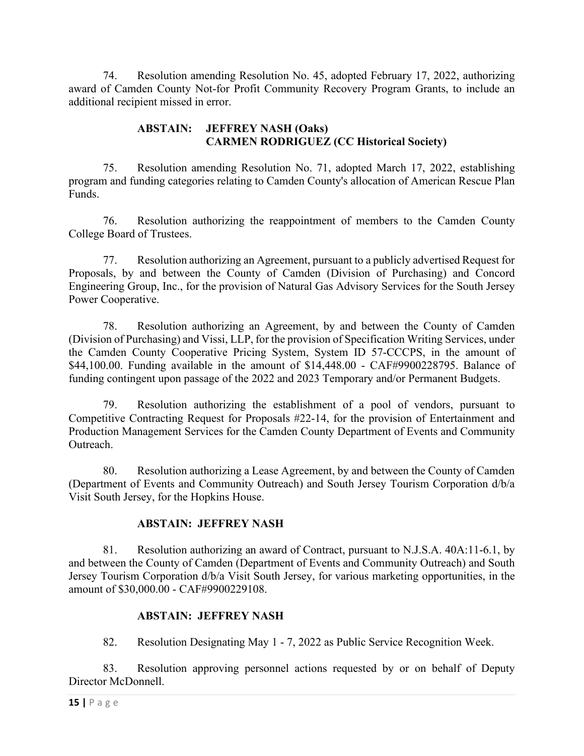74. Resolution amending Resolution No. 45, adopted February 17, 2022, authorizing award of Camden County Not-for Profit Community Recovery Program Grants, to include an additional recipient missed in error.

# **ABSTAIN: JEFFREY NASH (Oaks) CARMEN RODRIGUEZ (CC Historical Society)**

75. Resolution amending Resolution No. 71, adopted March 17, 2022, establishing program and funding categories relating to Camden County's allocation of American Rescue Plan Funds.

76. Resolution authorizing the reappointment of members to the Camden County College Board of Trustees.

77. Resolution authorizing an Agreement, pursuant to a publicly advertised Request for Proposals, by and between the County of Camden (Division of Purchasing) and Concord Engineering Group, Inc., for the provision of Natural Gas Advisory Services for the South Jersey Power Cooperative.

78. Resolution authorizing an Agreement, by and between the County of Camden (Division of Purchasing) and Vissi, LLP, for the provision of Specification Writing Services, under the Camden County Cooperative Pricing System, System ID 57-CCCPS, in the amount of \$44,100.00. Funding available in the amount of \$14,448.00 - CAF#9900228795. Balance of funding contingent upon passage of the 2022 and 2023 Temporary and/or Permanent Budgets.

79. Resolution authorizing the establishment of a pool of vendors, pursuant to Competitive Contracting Request for Proposals #22-14, for the provision of Entertainment and Production Management Services for the Camden County Department of Events and Community Outreach.

80. Resolution authorizing a Lease Agreement, by and between the County of Camden (Department of Events and Community Outreach) and South Jersey Tourism Corporation d/b/a Visit South Jersey, for the Hopkins House.

## **ABSTAIN: JEFFREY NASH**

81. Resolution authorizing an award of Contract, pursuant to N.J.S.A. 40A:11-6.1, by and between the County of Camden (Department of Events and Community Outreach) and South Jersey Tourism Corporation d/b/a Visit South Jersey, for various marketing opportunities, in the amount of \$30,000.00 - CAF#9900229108.

## **ABSTAIN: JEFFREY NASH**

82. Resolution Designating May 1 - 7, 2022 as Public Service Recognition Week.

83. Resolution approving personnel actions requested by or on behalf of Deputy Director McDonnell.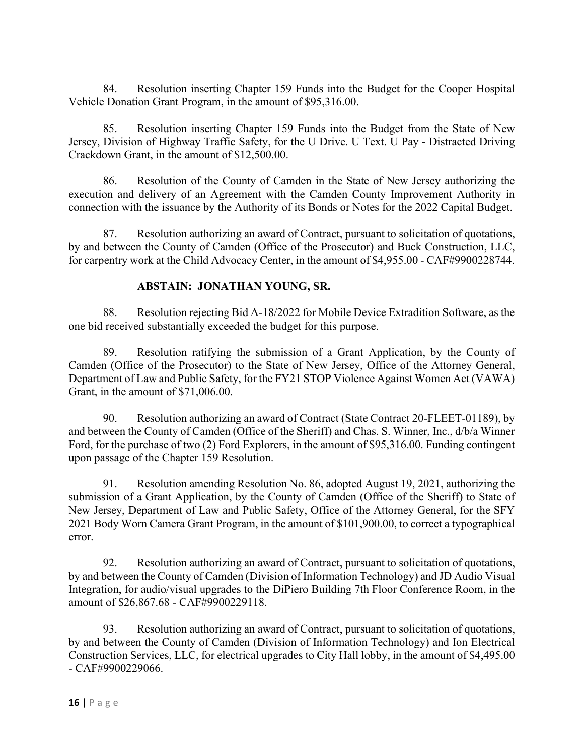84. Resolution inserting Chapter 159 Funds into the Budget for the Cooper Hospital Vehicle Donation Grant Program, in the amount of \$95,316.00.

85. Resolution inserting Chapter 159 Funds into the Budget from the State of New Jersey, Division of Highway Traffic Safety, for the U Drive. U Text. U Pay - Distracted Driving Crackdown Grant, in the amount of \$12,500.00.

86. Resolution of the County of Camden in the State of New Jersey authorizing the execution and delivery of an Agreement with the Camden County Improvement Authority in connection with the issuance by the Authority of its Bonds or Notes for the 2022 Capital Budget.

87. Resolution authorizing an award of Contract, pursuant to solicitation of quotations, by and between the County of Camden (Office of the Prosecutor) and Buck Construction, LLC, for carpentry work at the Child Advocacy Center, in the amount of \$4,955.00 - CAF#9900228744.

# **ABSTAIN: JONATHAN YOUNG, SR.**

88. Resolution rejecting Bid A-18/2022 for Mobile Device Extradition Software, as the one bid received substantially exceeded the budget for this purpose.

89. Resolution ratifying the submission of a Grant Application, by the County of Camden (Office of the Prosecutor) to the State of New Jersey, Office of the Attorney General, Department of Law and Public Safety, for the FY21 STOP Violence Against Women Act (VAWA) Grant, in the amount of \$71,006.00.

90. Resolution authorizing an award of Contract (State Contract 20-FLEET-01189), by and between the County of Camden (Office of the Sheriff) and Chas. S. Winner, Inc., d/b/a Winner Ford, for the purchase of two (2) Ford Explorers, in the amount of \$95,316.00. Funding contingent upon passage of the Chapter 159 Resolution.

91. Resolution amending Resolution No. 86, adopted August 19, 2021, authorizing the submission of a Grant Application, by the County of Camden (Office of the Sheriff) to State of New Jersey, Department of Law and Public Safety, Office of the Attorney General, for the SFY 2021 Body Worn Camera Grant Program, in the amount of \$101,900.00, to correct a typographical error.

92. Resolution authorizing an award of Contract, pursuant to solicitation of quotations, by and between the County of Camden (Division of Information Technology) and JD Audio Visual Integration, for audio/visual upgrades to the DiPiero Building 7th Floor Conference Room, in the amount of \$26,867.68 - CAF#9900229118.

93. Resolution authorizing an award of Contract, pursuant to solicitation of quotations, by and between the County of Camden (Division of Information Technology) and Ion Electrical Construction Services, LLC, for electrical upgrades to City Hall lobby, in the amount of \$4,495.00 - CAF#9900229066.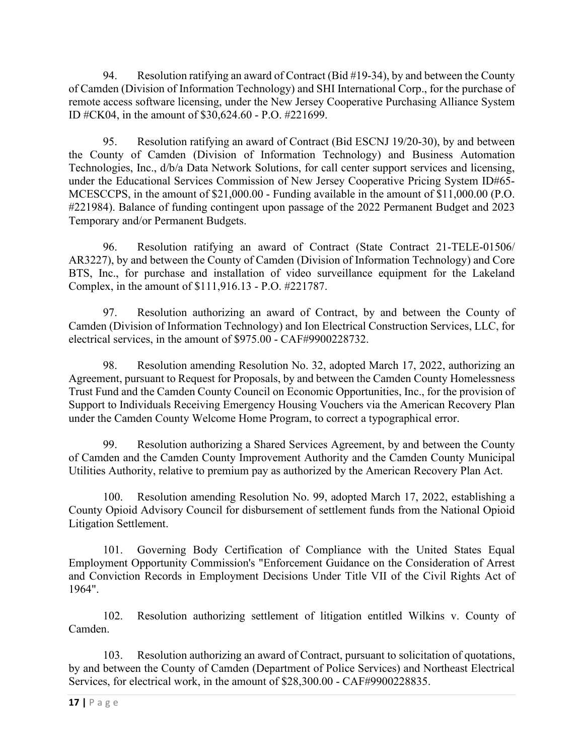94. Resolution ratifying an award of Contract (Bid #19-34), by and between the County of Camden (Division of Information Technology) and SHI International Corp., for the purchase of remote access software licensing, under the New Jersey Cooperative Purchasing Alliance System ID #CK04, in the amount of \$30,624.60 - P.O. #221699.

95. Resolution ratifying an award of Contract (Bid ESCNJ 19/20-30), by and between the County of Camden (Division of Information Technology) and Business Automation Technologies, Inc., d/b/a Data Network Solutions, for call center support services and licensing, under the Educational Services Commission of New Jersey Cooperative Pricing System ID#65- MCESCCPS, in the amount of \$21,000.00 - Funding available in the amount of \$11,000.00 (P.O. #221984). Balance of funding contingent upon passage of the 2022 Permanent Budget and 2023 Temporary and/or Permanent Budgets.

96. Resolution ratifying an award of Contract (State Contract 21-TELE-01506/ AR3227), by and between the County of Camden (Division of Information Technology) and Core BTS, Inc., for purchase and installation of video surveillance equipment for the Lakeland Complex, in the amount of \$111,916.13 - P.O. #221787.

97. Resolution authorizing an award of Contract, by and between the County of Camden (Division of Information Technology) and Ion Electrical Construction Services, LLC, for electrical services, in the amount of \$975.00 - CAF#9900228732.

98. Resolution amending Resolution No. 32, adopted March 17, 2022, authorizing an Agreement, pursuant to Request for Proposals, by and between the Camden County Homelessness Trust Fund and the Camden County Council on Economic Opportunities, Inc., for the provision of Support to Individuals Receiving Emergency Housing Vouchers via the American Recovery Plan under the Camden County Welcome Home Program, to correct a typographical error.

99. Resolution authorizing a Shared Services Agreement, by and between the County of Camden and the Camden County Improvement Authority and the Camden County Municipal Utilities Authority, relative to premium pay as authorized by the American Recovery Plan Act.

100. Resolution amending Resolution No. 99, adopted March 17, 2022, establishing a County Opioid Advisory Council for disbursement of settlement funds from the National Opioid Litigation Settlement.

101. Governing Body Certification of Compliance with the United States Equal Employment Opportunity Commission's "Enforcement Guidance on the Consideration of Arrest and Conviction Records in Employment Decisions Under Title VII of the Civil Rights Act of 1964".

102. Resolution authorizing settlement of litigation entitled Wilkins v. County of Camden.

103. Resolution authorizing an award of Contract, pursuant to solicitation of quotations, by and between the County of Camden (Department of Police Services) and Northeast Electrical Services, for electrical work, in the amount of \$28,300.00 - CAF#9900228835.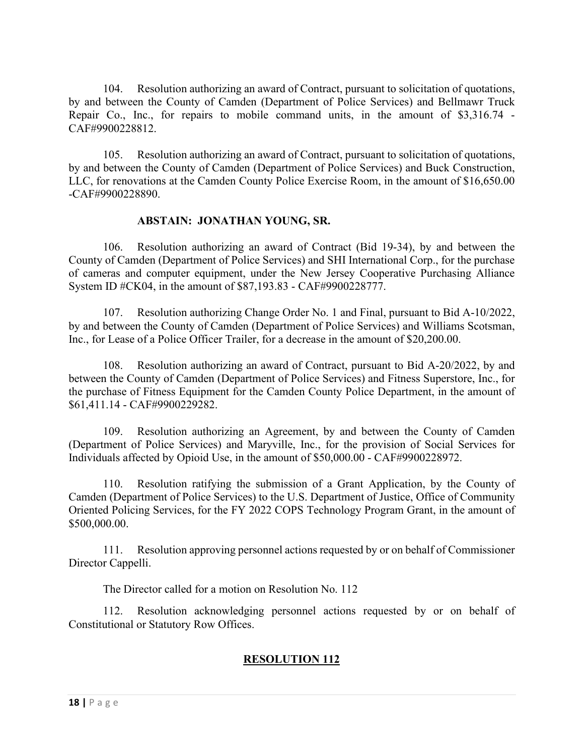104. Resolution authorizing an award of Contract, pursuant to solicitation of quotations, by and between the County of Camden (Department of Police Services) and Bellmawr Truck Repair Co., Inc., for repairs to mobile command units, in the amount of \$3,316.74 - CAF#9900228812.

105. Resolution authorizing an award of Contract, pursuant to solicitation of quotations, by and between the County of Camden (Department of Police Services) and Buck Construction, LLC, for renovations at the Camden County Police Exercise Room, in the amount of \$16,650.00 -CAF#9900228890.

## **ABSTAIN: JONATHAN YOUNG, SR.**

106. Resolution authorizing an award of Contract (Bid 19-34), by and between the County of Camden (Department of Police Services) and SHI International Corp., for the purchase of cameras and computer equipment, under the New Jersey Cooperative Purchasing Alliance System ID #CK04, in the amount of \$87,193.83 - CAF#9900228777.

107. Resolution authorizing Change Order No. 1 and Final, pursuant to Bid A-10/2022, by and between the County of Camden (Department of Police Services) and Williams Scotsman, Inc., for Lease of a Police Officer Trailer, for a decrease in the amount of \$20,200.00.

108. Resolution authorizing an award of Contract, pursuant to Bid A-20/2022, by and between the County of Camden (Department of Police Services) and Fitness Superstore, Inc., for the purchase of Fitness Equipment for the Camden County Police Department, in the amount of \$61,411.14 - CAF#9900229282.

109. Resolution authorizing an Agreement, by and between the County of Camden (Department of Police Services) and Maryville, Inc., for the provision of Social Services for Individuals affected by Opioid Use, in the amount of \$50,000.00 - CAF#9900228972.

110. Resolution ratifying the submission of a Grant Application, by the County of Camden (Department of Police Services) to the U.S. Department of Justice, Office of Community Oriented Policing Services, for the FY 2022 COPS Technology Program Grant, in the amount of \$500,000.00.

111. Resolution approving personnel actions requested by or on behalf of Commissioner Director Cappelli.

The Director called for a motion on Resolution No. 112

112. Resolution acknowledging personnel actions requested by or on behalf of Constitutional or Statutory Row Offices.

# **RESOLUTION 112**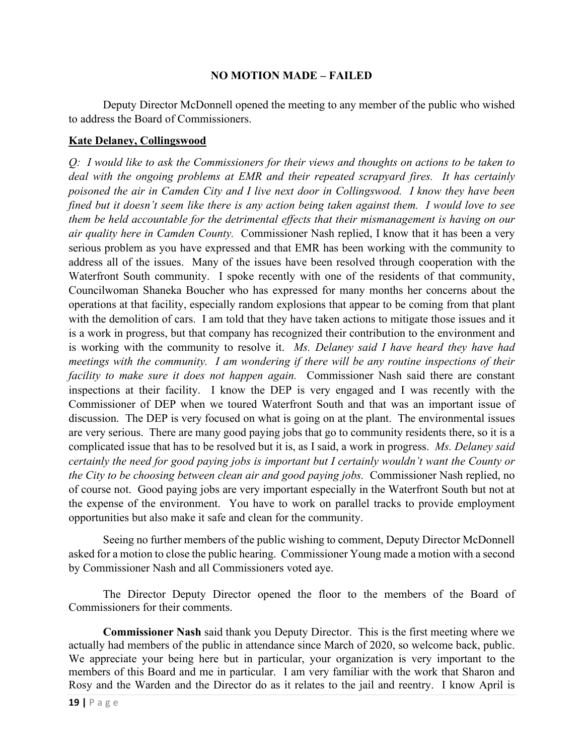#### **NO MOTION MADE – FAILED**

 Deputy Director McDonnell opened the meeting to any member of the public who wished to address the Board of Commissioners.

### **Kate Delaney, Collingswood**

*Q: I would like to ask the Commissioners for their views and thoughts on actions to be taken to deal with the ongoing problems at EMR and their repeated scrapyard fires. It has certainly poisoned the air in Camden City and I live next door in Collingswood. I know they have been fined but it doesn't seem like there is any action being taken against them. I would love to see them be held accountable for the detrimental effects that their mismanagement is having on our air quality here in Camden County.* Commissioner Nash replied, I know that it has been a very serious problem as you have expressed and that EMR has been working with the community to address all of the issues. Many of the issues have been resolved through cooperation with the Waterfront South community. I spoke recently with one of the residents of that community, Councilwoman Shaneka Boucher who has expressed for many months her concerns about the operations at that facility, especially random explosions that appear to be coming from that plant with the demolition of cars. I am told that they have taken actions to mitigate those issues and it is a work in progress, but that company has recognized their contribution to the environment and is working with the community to resolve it. *Ms. Delaney said I have heard they have had meetings with the community. I am wondering if there will be any routine inspections of their facility to make sure it does not happen again.* Commissioner Nash said there are constant inspections at their facility. I know the DEP is very engaged and I was recently with the Commissioner of DEP when we toured Waterfront South and that was an important issue of discussion. The DEP is very focused on what is going on at the plant. The environmental issues are very serious. There are many good paying jobs that go to community residents there, so it is a complicated issue that has to be resolved but it is, as I said, a work in progress. *Ms. Delaney said certainly the need for good paying jobs is important but I certainly wouldn't want the County or the City to be choosing between clean air and good paying jobs.* Commissioner Nash replied, no of course not. Good paying jobs are very important especially in the Waterfront South but not at the expense of the environment. You have to work on parallel tracks to provide employment opportunities but also make it safe and clean for the community.

Seeing no further members of the public wishing to comment, Deputy Director McDonnell asked for a motion to close the public hearing. Commissioner Young made a motion with a second by Commissioner Nash and all Commissioners voted aye.

The Director Deputy Director opened the floor to the members of the Board of Commissioners for their comments.

**Commissioner Nash** said thank you Deputy Director. This is the first meeting where we actually had members of the public in attendance since March of 2020, so welcome back, public. We appreciate your being here but in particular, your organization is very important to the members of this Board and me in particular. I am very familiar with the work that Sharon and Rosy and the Warden and the Director do as it relates to the jail and reentry. I know April is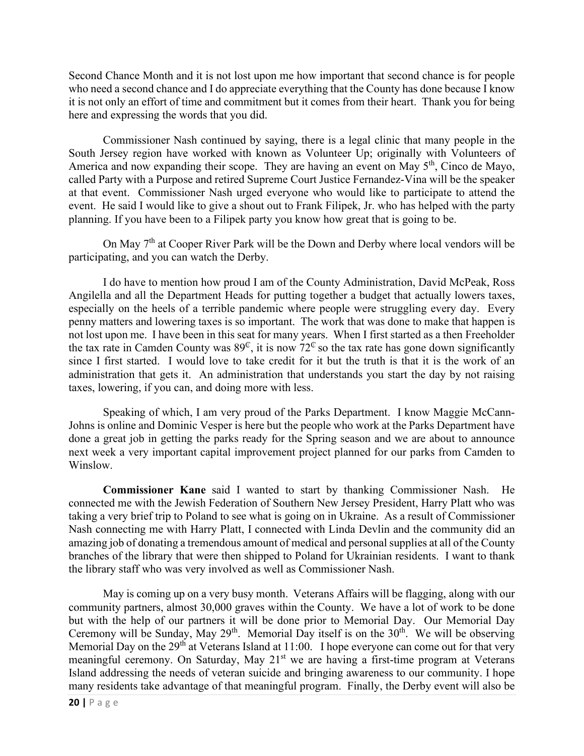Second Chance Month and it is not lost upon me how important that second chance is for people who need a second chance and I do appreciate everything that the County has done because I know it is not only an effort of time and commitment but it comes from their heart. Thank you for being here and expressing the words that you did.

Commissioner Nash continued by saying, there is a legal clinic that many people in the South Jersey region have worked with known as Volunteer Up; originally with Volunteers of America and now expanding their scope. They are having an event on May 5<sup>th</sup>, Cinco de Mayo, called Party with a Purpose and retired Supreme Court Justice Fernandez-Vina will be the speaker at that event. Commissioner Nash urged everyone who would like to participate to attend the event. He said I would like to give a shout out to Frank Filipek, Jr. who has helped with the party planning. If you have been to a Filipek party you know how great that is going to be.

On May 7<sup>th</sup> at Cooper River Park will be the Down and Derby where local vendors will be participating, and you can watch the Derby.

I do have to mention how proud I am of the County Administration, David McPeak, Ross Angilella and all the Department Heads for putting together a budget that actually lowers taxes, especially on the heels of a terrible pandemic where people were struggling every day. Every penny matters and lowering taxes is so important. The work that was done to make that happen is not lost upon me. I have been in this seat for many years. When I first started as a then Freeholder the tax rate in Camden County was  $89^\circ$ , it is now  $72^\circ$  so the tax rate has gone down significantly since I first started. I would love to take credit for it but the truth is that it is the work of an administration that gets it. An administration that understands you start the day by not raising taxes, lowering, if you can, and doing more with less.

Speaking of which, I am very proud of the Parks Department. I know Maggie McCann-Johns is online and Dominic Vesper is here but the people who work at the Parks Department have done a great job in getting the parks ready for the Spring season and we are about to announce next week a very important capital improvement project planned for our parks from Camden to Winslow.

**Commissioner Kane** said I wanted to start by thanking Commissioner Nash. He connected me with the Jewish Federation of Southern New Jersey President, Harry Platt who was taking a very brief trip to Poland to see what is going on in Ukraine. As a result of Commissioner Nash connecting me with Harry Platt, I connected with Linda Devlin and the community did an amazing job of donating a tremendous amount of medical and personal supplies at all of the County branches of the library that were then shipped to Poland for Ukrainian residents. I want to thank the library staff who was very involved as well as Commissioner Nash.

May is coming up on a very busy month. Veterans Affairs will be flagging, along with our community partners, almost 30,000 graves within the County. We have a lot of work to be done but with the help of our partners it will be done prior to Memorial Day. Our Memorial Day Ceremony will be Sunday, May 29<sup>th</sup>. Memorial Day itself is on the  $30<sup>th</sup>$ . We will be observing Memorial Day on the  $29<sup>th</sup>$  at Veterans Island at 11:00. I hope everyone can come out for that very meaningful ceremony. On Saturday, May 21<sup>st</sup> we are having a first-time program at Veterans Island addressing the needs of veteran suicide and bringing awareness to our community. I hope many residents take advantage of that meaningful program. Finally, the Derby event will also be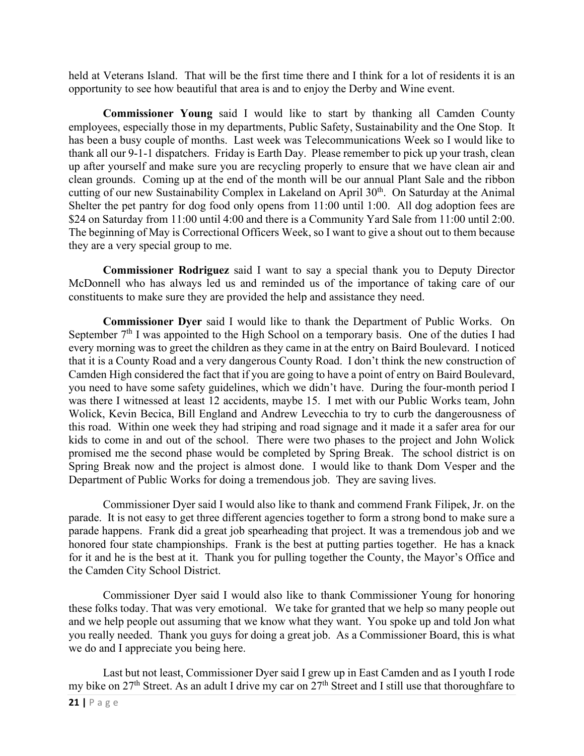held at Veterans Island. That will be the first time there and I think for a lot of residents it is an opportunity to see how beautiful that area is and to enjoy the Derby and Wine event.

**Commissioner Young** said I would like to start by thanking all Camden County employees, especially those in my departments, Public Safety, Sustainability and the One Stop. It has been a busy couple of months. Last week was Telecommunications Week so I would like to thank all our 9-1-1 dispatchers. Friday is Earth Day. Please remember to pick up your trash, clean up after yourself and make sure you are recycling properly to ensure that we have clean air and clean grounds. Coming up at the end of the month will be our annual Plant Sale and the ribbon cutting of our new Sustainability Complex in Lakeland on April 30<sup>th</sup>. On Saturday at the Animal Shelter the pet pantry for dog food only opens from 11:00 until 1:00. All dog adoption fees are \$24 on Saturday from 11:00 until 4:00 and there is a Community Yard Sale from 11:00 until 2:00. The beginning of May is Correctional Officers Week, so I want to give a shout out to them because they are a very special group to me.

**Commissioner Rodriguez** said I want to say a special thank you to Deputy Director McDonnell who has always led us and reminded us of the importance of taking care of our constituents to make sure they are provided the help and assistance they need.

**Commissioner Dyer** said I would like to thank the Department of Public Works. On September  $7<sup>th</sup>$  I was appointed to the High School on a temporary basis. One of the duties I had every morning was to greet the children as they came in at the entry on Baird Boulevard. I noticed that it is a County Road and a very dangerous County Road. I don't think the new construction of Camden High considered the fact that if you are going to have a point of entry on Baird Boulevard, you need to have some safety guidelines, which we didn't have. During the four-month period I was there I witnessed at least 12 accidents, maybe 15. I met with our Public Works team, John Wolick, Kevin Becica, Bill England and Andrew Levecchia to try to curb the dangerousness of this road. Within one week they had striping and road signage and it made it a safer area for our kids to come in and out of the school. There were two phases to the project and John Wolick promised me the second phase would be completed by Spring Break. The school district is on Spring Break now and the project is almost done. I would like to thank Dom Vesper and the Department of Public Works for doing a tremendous job. They are saving lives.

Commissioner Dyer said I would also like to thank and commend Frank Filipek, Jr. on the parade. It is not easy to get three different agencies together to form a strong bond to make sure a parade happens. Frank did a great job spearheading that project. It was a tremendous job and we honored four state championships. Frank is the best at putting parties together. He has a knack for it and he is the best at it. Thank you for pulling together the County, the Mayor's Office and the Camden City School District.

Commissioner Dyer said I would also like to thank Commissioner Young for honoring these folks today. That was very emotional. We take for granted that we help so many people out and we help people out assuming that we know what they want. You spoke up and told Jon what you really needed. Thank you guys for doing a great job. As a Commissioner Board, this is what we do and I appreciate you being here.

Last but not least, Commissioner Dyer said I grew up in East Camden and as I youth I rode my bike on 27<sup>th</sup> Street. As an adult I drive my car on 27<sup>th</sup> Street and I still use that thoroughfare to